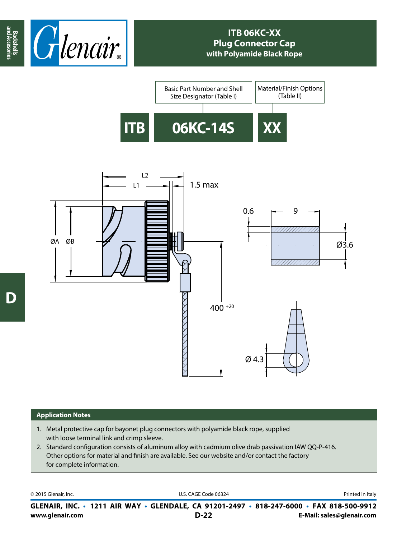

## **ITB 06KC-XX Plug Connector Cap with Polyamide Black Rope**





## **Application Notes**

- 1. Metal protective cap for bayonet plug connectors with polyamide black rope, supplied with loose terminal link and crimp sleeve.
- 2. Standard configuration consists of aluminum alloy with cadmium olive drab passivation IAW QQ-P-416. Other options for material and finish are available. See our website and/or contact the factory for complete information.

© 2015 Glenair, Inc. **Discription Construction Construction Construction Construction Construction Construction Construction Construction Construction Construction Construction Construction Construction Construction Constr** 

**www.glenair.com E-Mail: sales@glenair.com GLENAIR, INC. • 1211 AIR WAY • GLENDALE, CA 91201-2497 • 818-247-6000 • FAX 818-500-9912 D-22**